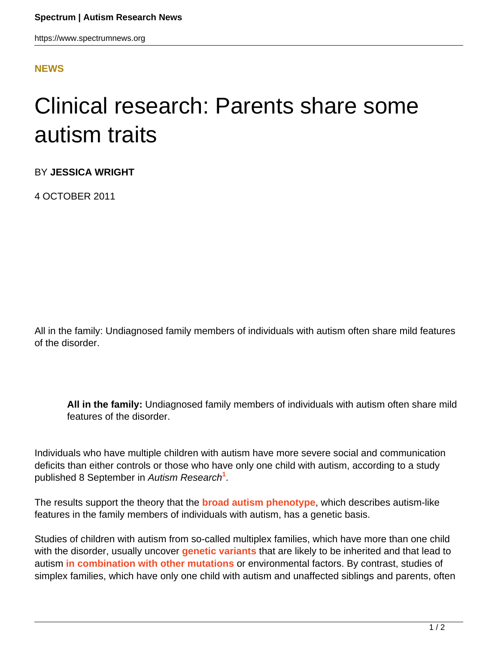## **[NEWS](HTTPS://WWW.SPECTRUMNEWS.ORG/NEWS/)**

## Clinical research: Parents share some autism traits

BY **JESSICA WRIGHT**

4 OCTOBER 2011

All in the family: Undiagnosed family members of individuals with autism often share mild features of the disorder.

**All in the family:** Undiagnosed family members of individuals with autism often share mild features of the disorder.

Individuals who have multiple children with autism have more severe social and communication deficits than either controls or those who have only one child with autism, according to a study published 8 September in Autism Research**<sup>1</sup>** .

The results support the theory that the **[broad autism phenotype](../../../../news-and-opinion/news/2011/parents-share-key-traits-of-children-with-autism)**, which describes autism-like features in the family members of individuals with autism, has a genetic basis.

Studies of children with autism from so-called multiplex families, which have more than one child with the disorder, usually uncover **[genetic variants](genetics-small-chromosome-changes-are-rare-inherited)** that are likely to be inherited and that lead to autism **[in combination with other mutations](https://www.spectrumnews.org/viewpoint/2011/solving-the-complex-causes-of-a-multi-hit-disorder)** or environmental factors. By contrast, studies of simplex families, which have only one child with autism and unaffected siblings and parents, often